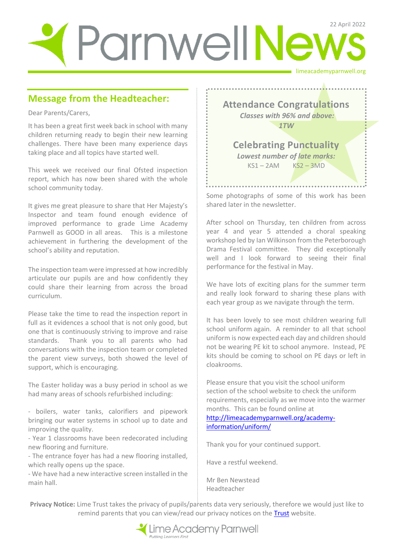# limeacademyparnwell.org ParnwellNews

# **Message from the Headteacher:**

Dear Parents/Carers,

It has been a great first week back in school with many children returning ready to begin their new learning challenges. There have been many experience days taking place and all topics have started well.

This week we received our final Ofsted inspection report, which has now been shared with the whole school community today.

It gives me great pleasure to share that Her Majesty's Inspector and team found enough evidence of improved performance to grade Lime Academy Parnwell as GOOD in all areas. This is a milestone achievement in furthering the development of the school's ability and reputation.

The inspection team were impressed at how incredibly articulate our pupils are and how confidently they could share their learning from across the broad curriculum.

Please take the time to read the inspection report in full as it evidences a school that is not only good, but one that is continuously striving to improve and raise standards. Thank you to all parents who had conversations with the inspection team or completed the parent view surveys, both showed the level of support, which is encouraging.

The Easter holiday was a busy period in school as we had many areas of schools refurbished including:

- boilers, water tanks, calorifiers and pipework bringing our water systems in school up to date and improving the quality.

- Year 1 classrooms have been redecorated including new flooring and furniture.

- The entrance foyer has had a new flooring installed, which really opens up the space.

- We have had a new interactive screen installed in the main hall.

**Attendance Congratulations** *Classes with 96% and above: 1TW*

**Celebrating Punctuality**  *Lowest number of late marks:*   $KSI - 2AM$   $KS2 - 3MD$ 

Some photographs of some of this work has been shared later in the newsletter.

After school on Thursday, ten children from across year 4 and year 5 attended a choral speaking workshop led by Ian Wilkinson from the Peterborough Drama Festival committee. They did exceptionally well and I look forward to seeing their final performance for the festival in May.

We have lots of exciting plans for the summer term and really look forward to sharing these plans with each year group as we navigate through the term.

It has been lovely to see most children wearing full school uniform again. A reminder to all that school uniform is now expected each day and children should not be wearing PE kit to school anymore. Instead, PE kits should be coming to school on PE days or left in cloakrooms.

Please ensure that you visit the school uniform section of the school website to check the uniform requirements, especially as we move into the warmer months. This can be found online at [http://limeacademyparnwell.org/academy](http://limeacademyparnwell.org/academy-information/uniform/)[information/uniform/](http://limeacademyparnwell.org/academy-information/uniform/)

Thank you for your continued support.

Have a restful weekend.

Mr Ben Newstead Headteacher

**Privacy Notice:** Lime Trust takes the privacy of pupils/parents data very seriously, therefore we would just like to remind parents that you can view/read our privacy notices on the [Trust](http://limetrust.org/lime-trust-information/policies/) website.

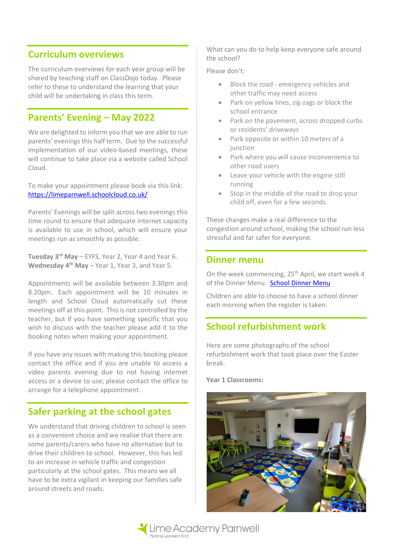## **Curriculum overviews**

The curriculum overviews for each year group will be shared by teaching staff on ClassDojo today. Please refer to these to understand the learning that your child will be undertaking in class this term.

# **Parents' Evening – May 2022**

We are delighted to inform you that we are able to run parents' evenings this half term. Due to the successful implementation of our video-based meetings, these will continue to take place via a website called School Cloud.

To make your appointment please book via this link: <https://limeparnwell.schoolcloud.co.uk/>

Parents' Evenings will be split across two evenings this time round to ensure that adequate internet capacity is available to use in school, which will ensure your meetings run as smoothly as possible.

**Tuesday 3 rd May** – EYFS, Year 2, Year 4 and Year 6. **Wednesday 4 th May** – Year 1, Year 3, and Year 5.

Appointments will be available between 3.30pm and 8.20pm. Each appointment will be 10 minutes in length and School Cloud automatically cut these meetings off at this point. This is not controlled by the teacher, but if you have something specific that you wish to discuss with the teacher please add it to the booking notes when making your appointment.

If you have any issues with making this booking please contact the office and if you are unable to access a video parents evening due to not having internet access or a device to use; please contact the office to arrange for a telephone appointment.

# **Safer parking at the school gates**

We understand that driving children to school is seen as a convenient choice and we realise that there are some parents/carers who have no alternative but to drive their children to school. However, this has led to an increase in vehicle traffic and congestion particularly at the school gates. This means we all have to be extra vigilant in keeping our families safe around streets and roads.

What can you do to help keep everyone safe around the school?

Please don't:

- Block the road emergency vehicles and other traffic may need access
- Park on yellow lines, zig-zags or block the school entrance
- Park on the pavement, across dropped curbs or residents' driveways
- Park opposite or within 10 meters of a junction
- Park where you will cause inconvenience to other road users
- Leave your vehicle with the engine still running
- Stop in the middle of the road to drop your child off, even for a few seconds.

These changes make a real difference to the congestion around school, making the school run less stressful and far safer for everyone.

### **Dinner menu**

On the week commencing, 25<sup>th</sup> April, we start week 4 of the Dinner Menu. [School Dinner Menu](http://limeacademyparnwell.org/media/5812/dinner-menu-lime-academy-parnwell.pdf)

Children are able to choose to have a school dinner each morning when the register is taken.

# **School refurbishment work**

Here are some photographs of the school refurbishment work that took place over the Easter break.

#### **Year 1 Classrooms:**